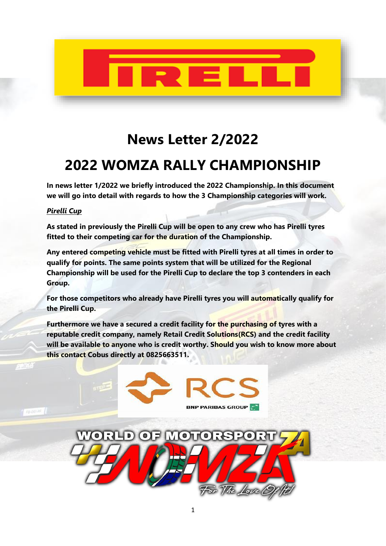

# **News Letter 2/2022**

## **2022 WOMZA RALLY CHAMPIONSHIP**

**In news letter 1/2022 we briefly introduced the 2022 Championship. In this document we will go into detail with regards to how the 3 Championship categories will work.**

### *Pirelli Cup*

**As stated in previously the Pirelli Cup will be open to any crew who has Pirelli tyres fitted to their competing car for the duration of the Championship.**

**Any entered competing vehicle must be fitted with Pirelli tyres at all times in order to qualify for points. The same points system that will be utilized for the Regional Championship will be used for the Pirelli Cup to declare the top 3 contenders in each Group.**

**For those competitors who already have Pirelli tyres you will automatically qualify for the Pirelli Cup.**

**Furthermore we have a secured a credit facility for the purchasing of tyres with a reputable credit company, namely Retail Credit Solutions(RCS) and the credit facility will be available to anyone who is credit worthy. Should you wish to know more about this contact Cobus directly at 0825663511.**

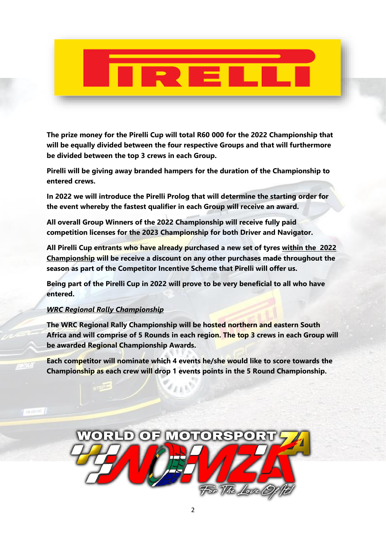**The prize money for the Pirelli Cup will total R60 000 for the 2022 Championship that will be equally divided between the four respective Groups and that will furthermore be divided between the top 3 crews in each Group.**

**Pirelli will be giving away branded hampers for the duration of the Championship to entered crews.**

**In 2022 we will introduce the Pirelli Prolog that will determine the starting order for the event whereby the fastest qualifier in each Group will receive an award.**

**All overall Group Winners of the 2022 Championship will receive fully paid competition licenses for the 2023 Championship for both Driver and Navigator.**

**All Pirelli Cup entrants who have already purchased a new set of tyres within the 2022 Championship will be receive a discount on any other purchases made throughout the season as part of the Competitor Incentive Scheme that Pirelli will offer us.**

**Being part of the Pirelli Cup in 2022 will prove to be very beneficial to all who have entered.**

### *WRC Regional Rally Championship*

**The WRC Regional Rally Championship will be hosted northern and eastern South Africa and will comprise of 5 Rounds in each region. The top 3 crews in each Group will be awarded Regional Championship Awards.**

**Each competitor will nominate which 4 events he/she would like to score towards the Championship as each crew will drop 1 events points in the 5 Round Championship.**

 $f_{L1}$ 

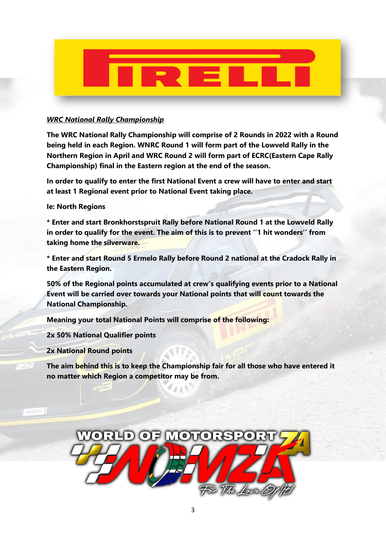

#### *WRC National Rally Championship*

**The WRC National Rally Championship will comprise of 2 Rounds in 2022 with a Round being held in each Region. WNRC Round 1 will form part of the Lowveld Rally in the Northern Region in April and WRC Round 2 will form part of ECRC(Eastern Cape Rally Championship) final in the Eastern region at the end of the season.**

**In order to qualify to enter the first National Event a crew will have to enter and start at least 1 Regional event prior to National Event taking place.**

#### **Ie: North Regions**

**\* Enter and start Bronkhorstspruit Rally before National Round 1 at the Lowveld Rally in order to qualify for the event. The aim of this is to prevent ''1 hit wonders'' from taking home the silverware.** 

**\* Enter and start Round 5 Ermelo Rally before Round 2 national at the Cradock Rally in the Eastern Region.**

**50% of the Regional points accumulated at crew's qualifying events prior to a National Event will be carried over towards your National points that will count towards the National Championship.**

**Meaning your total National Points will comprise of the following:**

**2x 50% National Qualifier points**

**2x National Round points**

**The aim behind this is to keep the Championship fair for all those who have entered it no matter which Region a competitor may be from.**

 $E \triangleq 3$ 

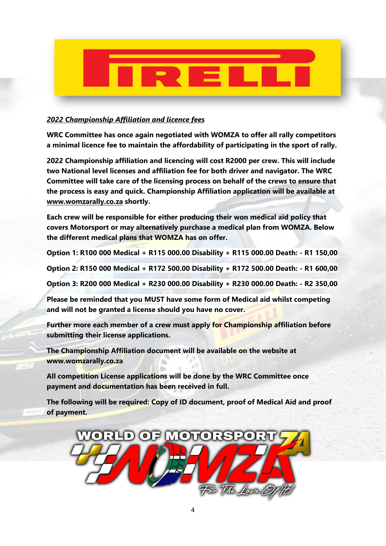

### *2022 Championship Affiliation and licence fees*

**WRC Committee has once again negotiated with WOMZA to offer all rally competitors a minimal licence fee to maintain the affordability of participating in the sport of rally.**

**2022 Championship affiliation and licencing will cost R2000 per crew. This will include two National level licenses and affiliation fee for both driver and navigator. The WRC Committee will take care of the licensing process on behalf of the crews to ensure that the process is easy and quick. Championship Affiliation application will be available at [www.womzarally.co.za](http://www.womzarally.co.za/) shortly.**

**Each crew will be responsible for either producing their won medical aid policy that covers Motorsport or may alternatively purchase a medical plan from WOMZA. Below the different medical plans that WOMZA has on offer.**

**Option 1: R100 000 Medical + R115 000.00 Disability + R115 000.00 Death: - R1 150,00**

**Option 2: R150 000 Medical + R172 500.00 Disability + R172 500.00 Death: - R1 600,00**

**Option 3: R200 000 Medical + R230 000.00 Disability + R230 000.00 Death: - R2 350,00**

**Please be reminded that you MUST have some form of Medical aid whilst competing and will not be granted a license should you have no cover.**

**Further more each member of a crew must apply for Championship affiliation before submitting their license applications.**

**The Championship Affiliation document will be available on the website at www.womzarally.co.za**

**All competition License applications will be done by the WRC Committee once payment and documentation has been received in full.**

**The following will be required: Copy of ID document, proof of Medical Aid and proof of payment.**